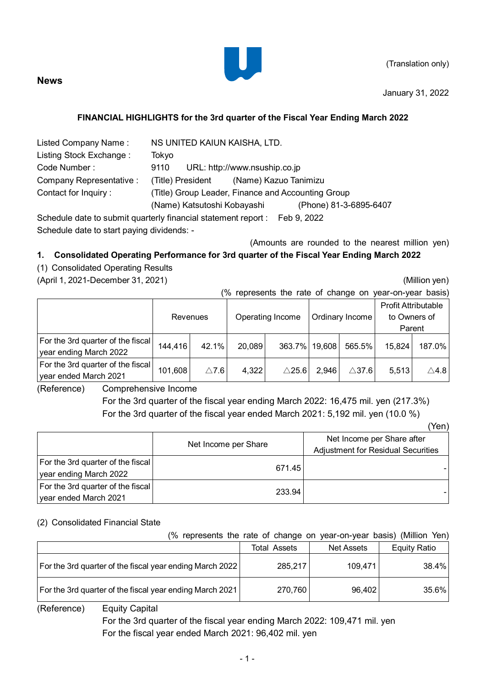

(Translation only)

January 31, 2022

# **FINANCIAL HIGHLIGHTS for the 3rd quarter of the Fiscal Year Ending March 2022**

| Listed Company Name:                                                       | NS UNITED KAIUN KAISHA, LTD. |                               |  |  |  |
|----------------------------------------------------------------------------|------------------------------|-------------------------------|--|--|--|
| Listing Stock Exchange:                                                    | Tokyo                        |                               |  |  |  |
| Code Number:                                                               | 9110                         | URL: http://www.nsuship.co.jp |  |  |  |
| Company Representative :                                                   | (Title) President            | (Name) Kazuo Tanimizu         |  |  |  |
| (Title) Group Leader, Finance and Accounting Group<br>Contact for Inquiry: |                              |                               |  |  |  |
|                                                                            | (Name) Katsutoshi Kobayashi  | (Phone) 81-3-6895-6407        |  |  |  |

Schedule date to submit quarterly financial statement report : Feb 9, 2022 Schedule date to start paying dividends: -

(Amounts are rounded to the nearest million yen)

# **1. Consolidated Operating Performance for 3rd quarter of the Fiscal Year Ending March 2022**

# (1) Consolidated Operating Results

**News**

(April 1, 2021-December 31, 2021) (Million yen)

(Yen)

(% represents the rate of change on year-on-year basis)

|                                                             | Revenues |                 | Operating Income<br>Ordinary Income |                  |       |                  | <b>Profit Attributable</b><br>to Owners of<br>Parent |                 |
|-------------------------------------------------------------|----------|-----------------|-------------------------------------|------------------|-------|------------------|------------------------------------------------------|-----------------|
| For the 3rd quarter of the fiscal<br>year ending March 2022 | 144,416  | 42.1%           | 20,089                              | 363.7% 19,608    |       | 565.5%           | 15,824                                               | 187.0%          |
| For the 3rd quarter of the fiscal<br>year ended March 2021  | 101,608  | $\triangle$ 7.6 | 4,322                               | $\triangle$ 25.6 | 2,946 | $\triangle$ 37.6 | 5,513                                                | $\triangle$ 4.8 |

(Reference) Comprehensive Income

For the 3rd quarter of the fiscal year ending March 2022: 16,475 mil. yen (217.3%) For the 3rd quarter of the fiscal year ended March 2021: 5,192 mil. yen (10.0 %)

|                                                              |                      | .                                                                |
|--------------------------------------------------------------|----------------------|------------------------------------------------------------------|
|                                                              | Net Income per Share | Net Income per Share after<br>Adjustment for Residual Securities |
| For the 3rd quarter of the fiscal <br>year ending March 2022 | 671.45               |                                                                  |
| For the 3rd quarter of the fiscal  <br>year ended March 2021 | 233.94               |                                                                  |

## (2) Consolidated Financial State

## (% represents the rate of change on year-on-year basis) (Million Yen)

|                                                          | Total Assets | <b>Net Assets</b> | <b>Equity Ratio</b> |
|----------------------------------------------------------|--------------|-------------------|---------------------|
| For the 3rd quarter of the fiscal year ending March 2022 | 285,217      | 109,471           | 38.4%               |
| For the 3rd quarter of the fiscal year ending March 2021 | 270,760      | 96,402            | $35.6\%$            |

(Reference) Equity Capital

For the 3rd quarter of the fiscal year ending March 2022: 109,471 mil. yen For the fiscal year ended March 2021: 96,402 mil. yen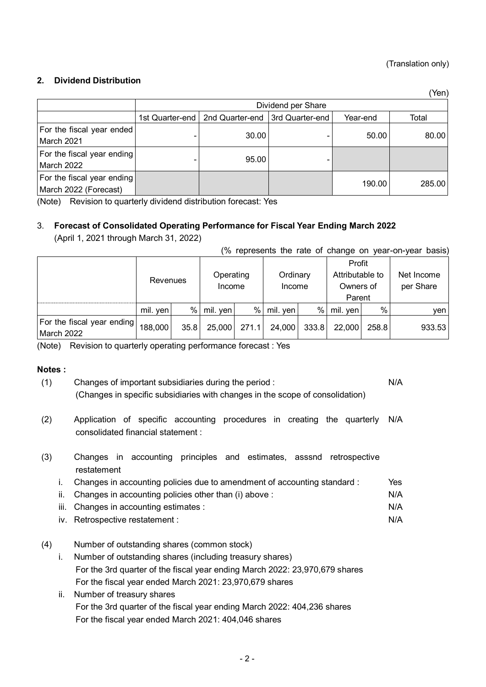## (Translation only)

N/A

(Yen)

## **2. Dividend Distribution**

|                                                     | Dividend per Share |                                   |                 |          |        |  |  |  |
|-----------------------------------------------------|--------------------|-----------------------------------|-----------------|----------|--------|--|--|--|
|                                                     |                    | 1st Quarter-end   2nd Quarter-end | 3rd Quarter-end | Year-end | Total  |  |  |  |
| For the fiscal year ended<br>March 2021             |                    | 30.00                             |                 | 50.00    | 80.00  |  |  |  |
| For the fiscal year ending<br>March 2022            |                    | 95.00                             |                 |          |        |  |  |  |
| For the fiscal year ending<br>March 2022 (Forecast) |                    |                                   |                 | 190.00   | 285.00 |  |  |  |

(Note) Revision to quarterly dividend distribution forecast: Yes

# 3. **Forecast of Consolidated Operating Performance for Fiscal Year Ending March 2022**

(April 1, 2021 through March 31, 2022)

#### (% represents the rate of change on year-on-year basis)

|                                          | Revenues   |      | Operating<br>Income |       | Ordinary<br>Income |       | Profit<br>Attributable to<br>Owners of<br>Parent |       | Net Income<br>per Share |
|------------------------------------------|------------|------|---------------------|-------|--------------------|-------|--------------------------------------------------|-------|-------------------------|
|                                          | mil. ven l | $\%$ | mil. ven l          | %     | mil. ven           | %     | mil. yen                                         | $\%$  | ven                     |
| For the fiscal year ending<br>March 2022 | 188,000    | 35.8 | 25,000              | 271.1 | 24,000             | 333.8 | 22,000                                           | 258.8 | 933.53                  |

(Note) Revision to quarterly operating performance forecast : Yes

## **Notes :**

- (1) Changes of important subsidiaries during the period : (Changes in specific subsidiaries with changes in the scope of consolidation) N/A
- (2) Application of specific accounting procedures in creating the quarterly consolidated financial statement : N/A
- (3) Changes in accounting principles and estimates, asssnd retrospective restatement
	- i. Changes in accounting policies due to amendment of accounting standard : ii. Changes in accounting policies other than (i) above : Yes N/A
	- iii. Changes in accounting estimates : N/A
	- iv. Retrospective restatement :
- (4) Number of outstanding shares (common stock)
	- i. Number of outstanding shares (including treasury shares) For the 3rd quarter of the fiscal year ending March 2022: 23,970,679 shares For the fiscal year ended March 2021: 23,970,679 shares
	- ii. Number of treasury shares For the 3rd quarter of the fiscal year ending March 2022: 404,236 shares For the fiscal year ended March 2021: 404,046 shares